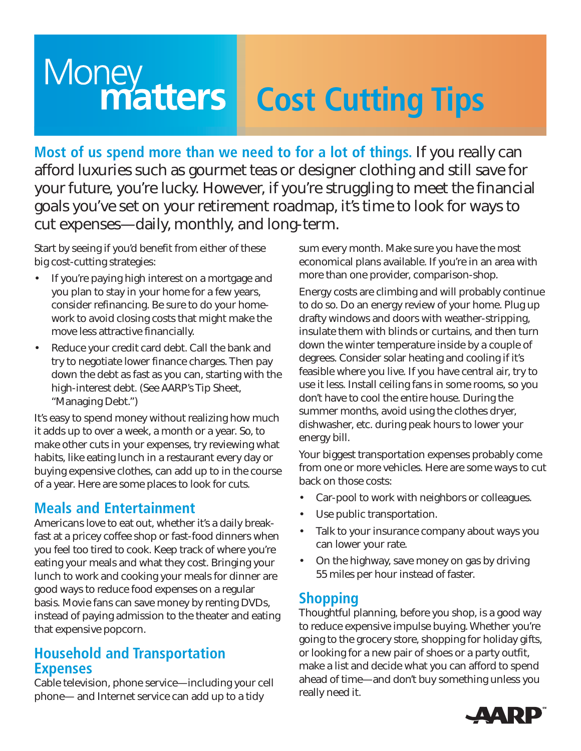# **Money**<br> **Matters Cost Cutting Tips**

**Most of us spend more than we need to for a lot of things.** If you really can afford luxuries such as gourmet teas or designer clothing and still save for your future, you're lucky. However, if you're struggling to meet the financial goals you've set on your retirement roadmap, it's time to look for ways to cut expenses—daily, monthly, and long-term.

Start by seeing if you'd benefit from either of these big cost-cutting strategies:

- If you're paying high interest on a mortgage and you plan to stay in your home for a few years, consider refinancing. Be sure to do your homework to avoid closing costs that might make the move less attractive financially.
- Reduce your credit card debt. Call the bank and try to negotiate lower finance charges. Then pay down the debt as fast as you can, starting with the high-interest debt. (See AARP's Tip Sheet, "Managing Debt.")

It's easy to spend money without realizing how much it adds up to over a week, a month or a year. So, to make other cuts in your expenses, try reviewing what habits, like eating lunch in a restaurant every day or buying expensive clothes, can add up to in the course of a year. Here are some places to look for cuts.

#### **Meals and Entertainment**

Americans love to eat out, whether it's a daily breakfast at a pricey coffee shop or fast-food dinners when you feel too tired to cook. Keep track of where you're eating your meals and what they cost. Bringing your lunch to work and cooking your meals for dinner are good ways to reduce food expenses on a regular basis. Movie fans can save money by renting DVDs, instead of paying admission to the theater and eating that expensive popcorn.

#### **Household and Transportation Expenses**

Cable television, phone service—including your cell phone— and Internet service can add up to a tidy

sum every month. Make sure you have the most economical plans available. If you're in an area with more than one provider, comparison-shop.

Energy costs are climbing and will probably continue to do so. Do an energy review of your home. Plug up drafty windows and doors with weather-stripping, insulate them with blinds or curtains, and then turn down the winter temperature inside by a couple of degrees. Consider solar heating and cooling if it's feasible where you live. If you have central air, try to use it less. Install ceiling fans in some rooms, so you don't have to cool the entire house. During the summer months, avoid using the clothes dryer, dishwasher, etc. during peak hours to lower your energy bill.

Your biggest transportation expenses probably come from one or more vehicles. Here are some ways to cut back on those costs:

- Car-pool to work with neighbors or colleagues.
- Use public transportation.
- Talk to your insurance company about ways you can lower your rate.
- On the highway, save money on gas by driving 55 miles per hour instead of faster.

### **Shopping**

Thoughtful planning, before you shop, is a good way to reduce expensive impulse buying. Whether you're going to the grocery store, shopping for holiday gifts, or looking for a new pair of shoes or a party outfit, make a list and decide what you can afford to spend ahead of time—and don't buy something unless you really need it.